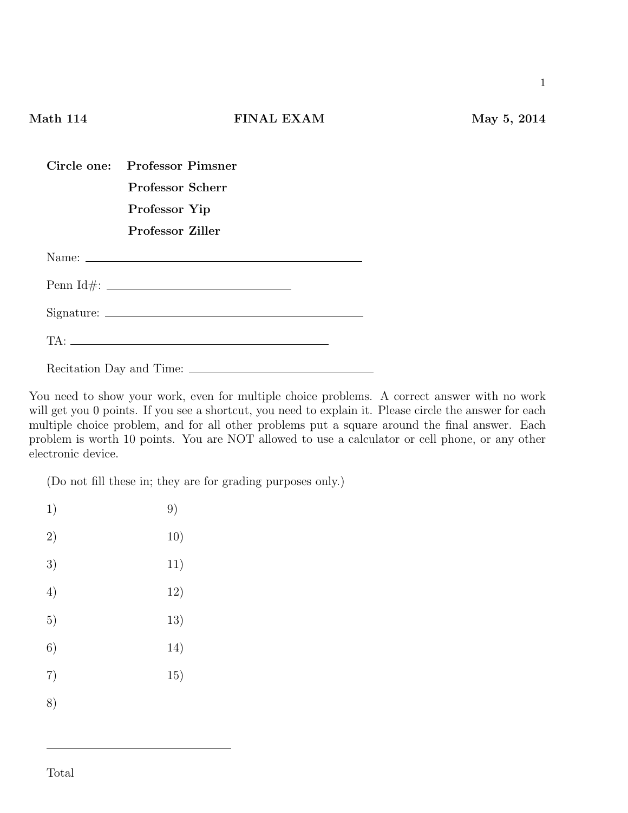## **Math 114 FINAL EXAM May 5, 2014**

| <b>Professor Scherr</b>         |  |
|---------------------------------|--|
| Professor Yip                   |  |
| <b>Professor Ziller</b>         |  |
|                                 |  |
|                                 |  |
| $Signature: \_\_\_\_\_\_\_\_\_$ |  |
| $TA:$ $\overline{\phantom{a}}$  |  |
|                                 |  |

Recitation Day and Time:

**Circle one: Professor Pimsner**

You need to show your work, even for multiple choice problems. A correct answer with no work will get you 0 points. If you see a shortcut, you need to explain it. Please circle the answer for each multiple choice problem, and for all other problems put a square around the final answer. Each problem is worth 10 points. You are NOT allowed to use a calculator or cell phone, or any other electronic device.

(Do not fill these in; they are for grading purposes only.)

| 1) | 9)  |
|----|-----|
| 2) | 10) |
| 3) | 11) |
| 4) | 12) |
| 5) | 13) |
| 6) | 14) |
| 7) | 15) |
| 8) |     |
|    |     |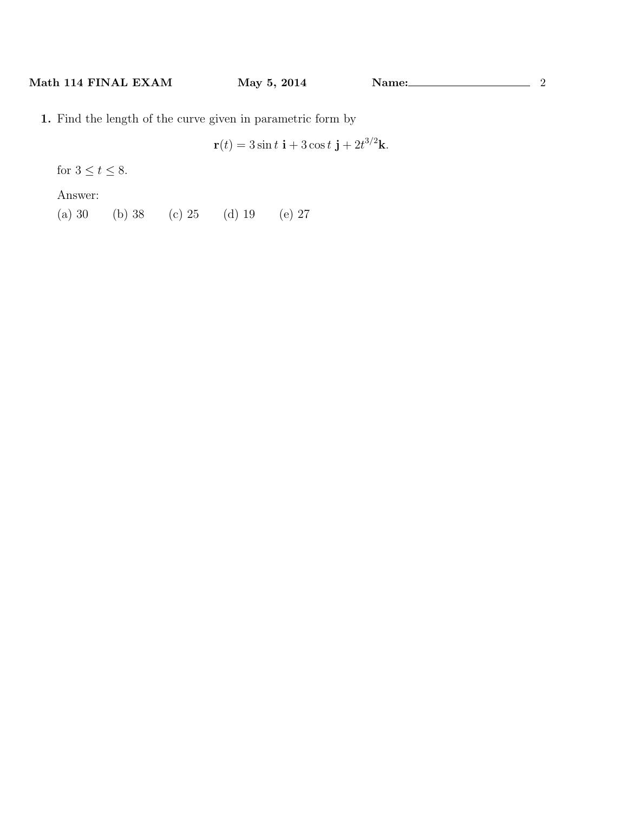**1.** Find the length of the curve given in parametric form by

$$
\mathbf{r}(t) = 3\sin t \mathbf{i} + 3\cos t \mathbf{j} + 2t^{3/2}\mathbf{k}.
$$

for  $3 \le t \le 8$ .

Answer:

(a) 30 (b) 38 (c) 25 (d) 19 (e) 27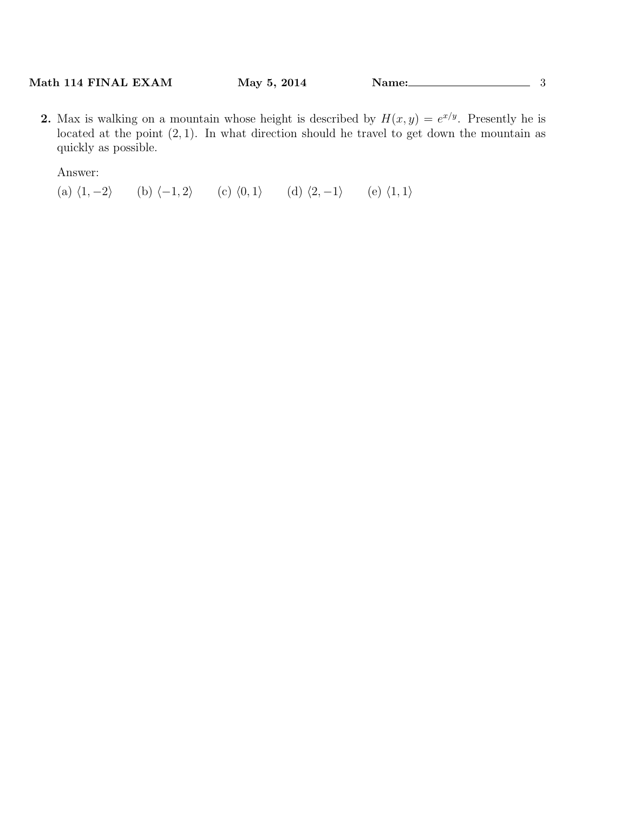**2.** Max is walking on a mountain whose height is described by  $H(x, y) = e^{x/y}$ . Presently he is located at the point  $(2, 1)$ . In what direction should he travel to get down the mountain as quickly as possible.

Answer:

(a) *⟨*1*, −*2*⟩* (b) *⟨−*1*,* 2*⟩* (c) *⟨*0*,* 1*⟩* (d) *⟨*2*, −*1*⟩* (e) *⟨*1*,* 1*⟩*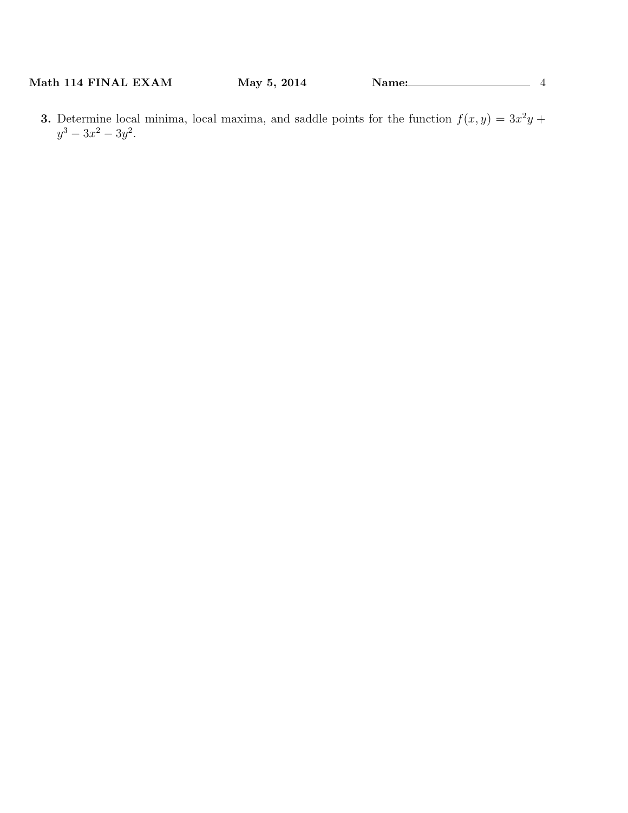**3.** Determine local minima, local maxima, and saddle points for the function  $f(x, y) = 3x^2y +$  $y^3 - 3x^2 - 3y^2$ .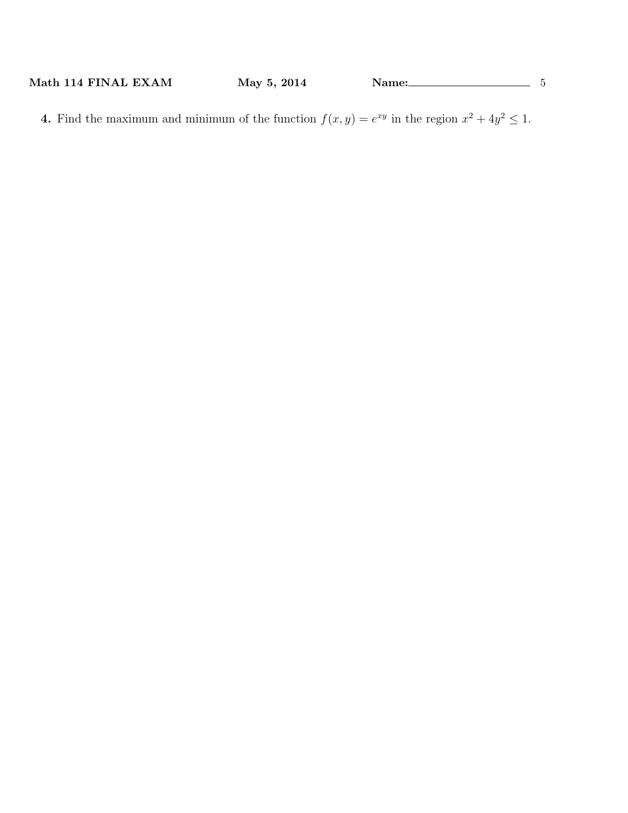**4.** Find the maximum and minimum of the function  $f(x, y) = e^{xy}$  in the region  $x^2 + 4y^2 \le 1$ .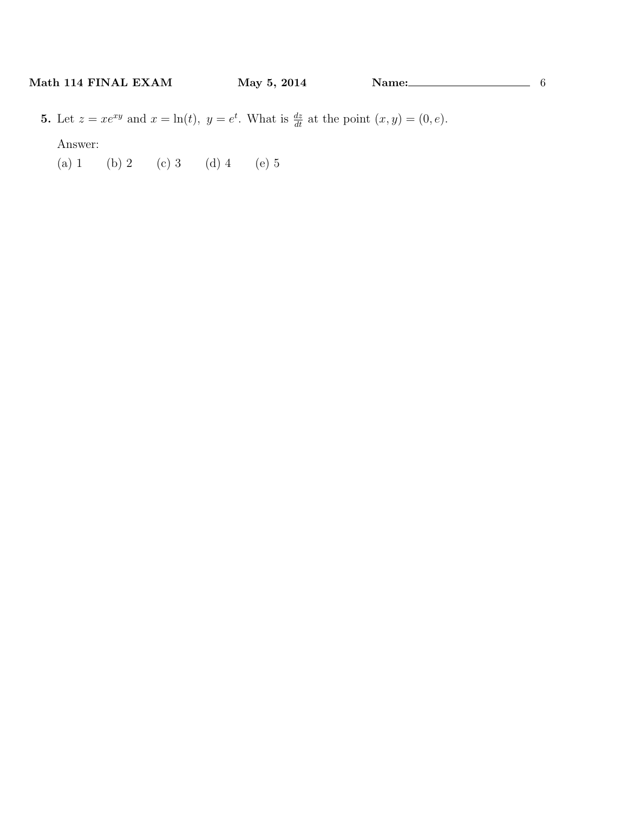**5.** Let  $z = xe^{xy}$  and  $x = \ln(t)$ ,  $y = e^t$ . What is  $\frac{dz}{dt}$  at the point  $(x, y) = (0, e)$ . Answer:

(a) 1 (b) 2 (c) 3 (d) 4 (e) 5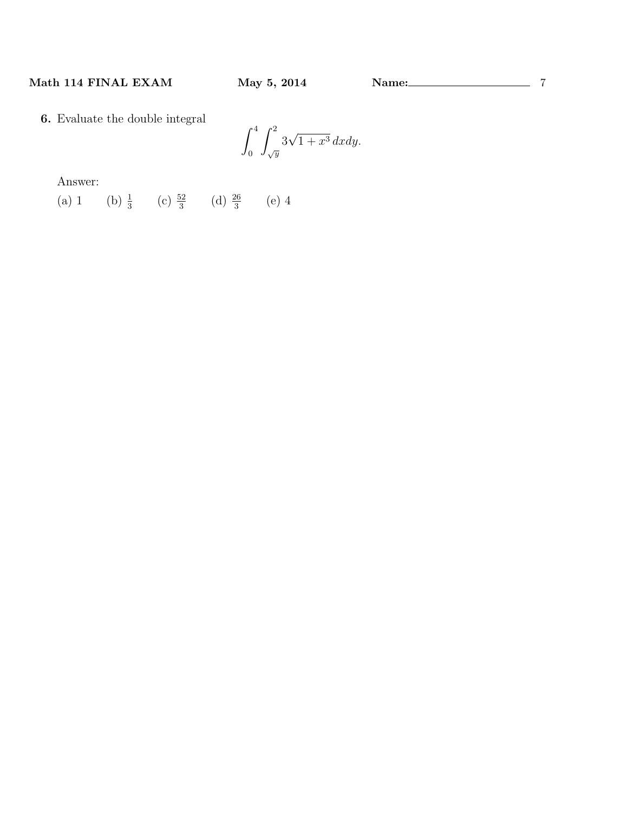**6.** Evaluate the double integral

$$
\int_0^4 \int_{\sqrt{y}}^2 3\sqrt{1+x^3} \, dxdy.
$$

Answer:

(a) 1 (b)  $\frac{1}{3}$  (c)  $\frac{52}{3}$  (d)  $\frac{26}{3}$  (e) 4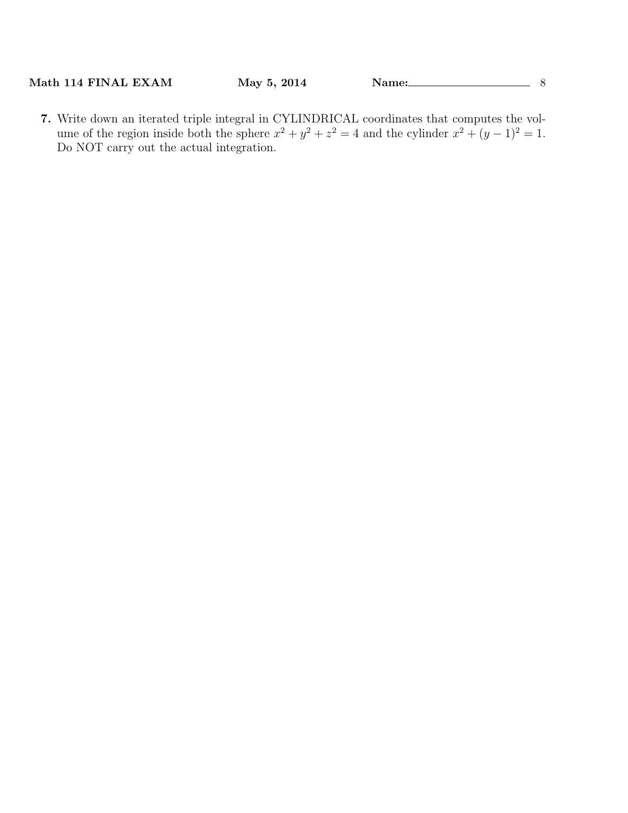**7.** Write down an iterated triple integral in CYLINDRICAL coordinates that computes the volume of the region inside both the sphere  $x^2 + y^2 + z^2 = 4$  and the cylinder  $x^2 + (y - 1)^2 = 1$ . Do NOT carry out the actual integration.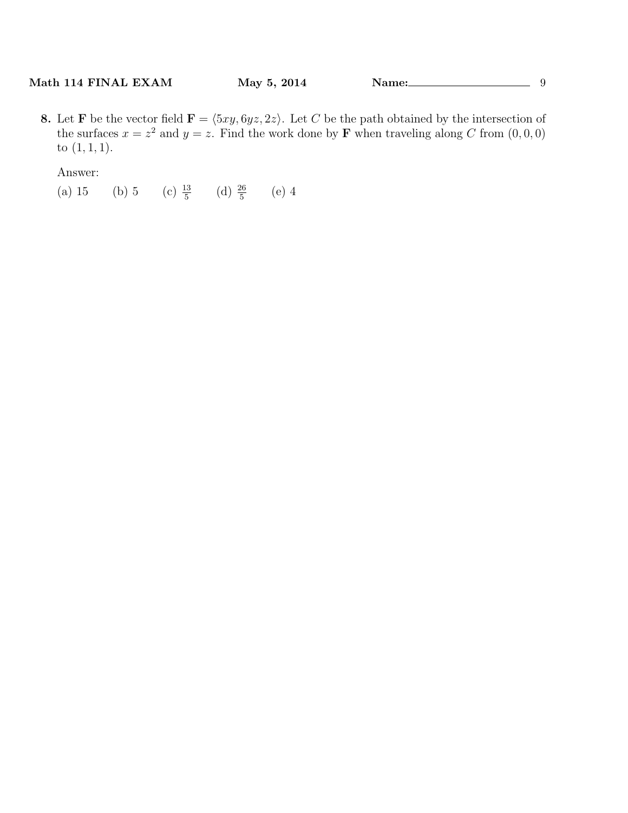**8.** Let **F** be the vector field  $\mathbf{F} = \langle 5xy, 6yz, 2z \rangle$ . Let *C* be the path obtained by the intersection of the surfaces  $x = z^2$  and  $y = z$ . Find the work done by **F** when traveling along *C* from  $(0, 0, 0)$ to (1*,* 1*,* 1).

Answer:

(a) 15 (b) 5 (c)  $\frac{13}{5}$  (d)  $\frac{26}{5}$  (e) 4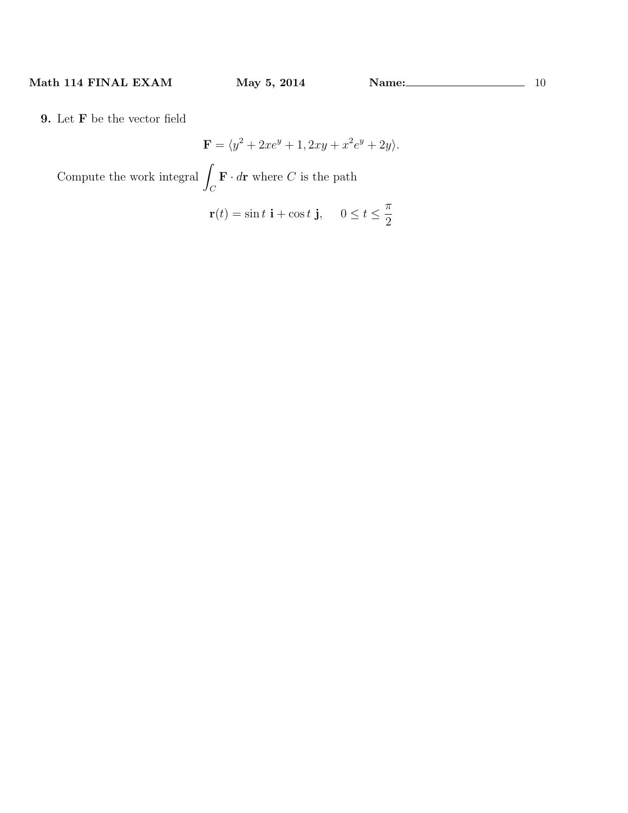**9.** Let **F** be the vector field

$$
\mathbf{F} = \langle y^2 + 2xe^y + 1, 2xy + x^2e^y + 2y \rangle.
$$

Compute the work integral <sup>∫</sup>  $\int_C$  **F** *· d***r** where *C* is the path

$$
\mathbf{r}(t) = \sin t \, \mathbf{i} + \cos t \, \mathbf{j}, \quad 0 \le t \le \frac{\pi}{2}
$$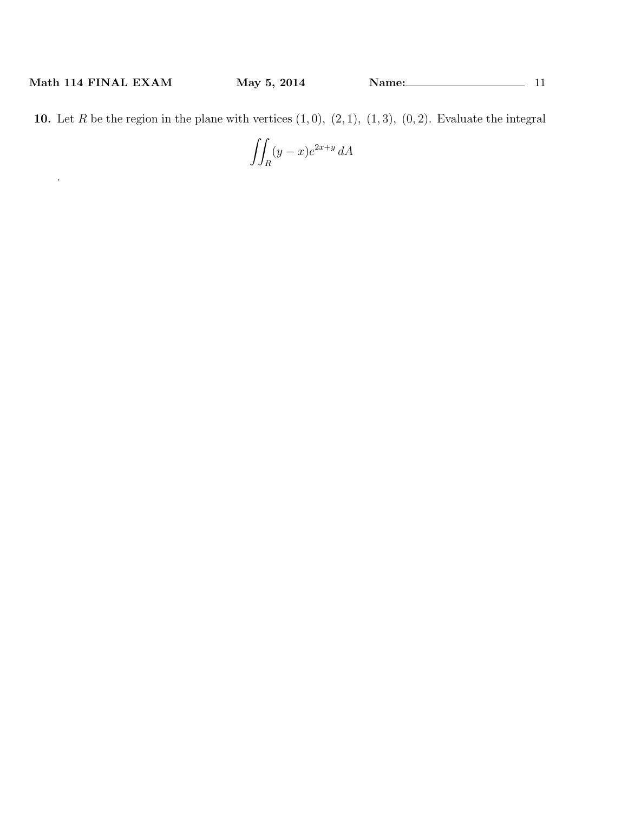.

**10.** Let  $R$  be the region in the plane with vertices  $(1,0)$ ,  $(2,1)$ ,  $(1,3)$ ,  $(0,2)$ . Evaluate the integral

$$
\iint_R (y-x)e^{2x+y} dA
$$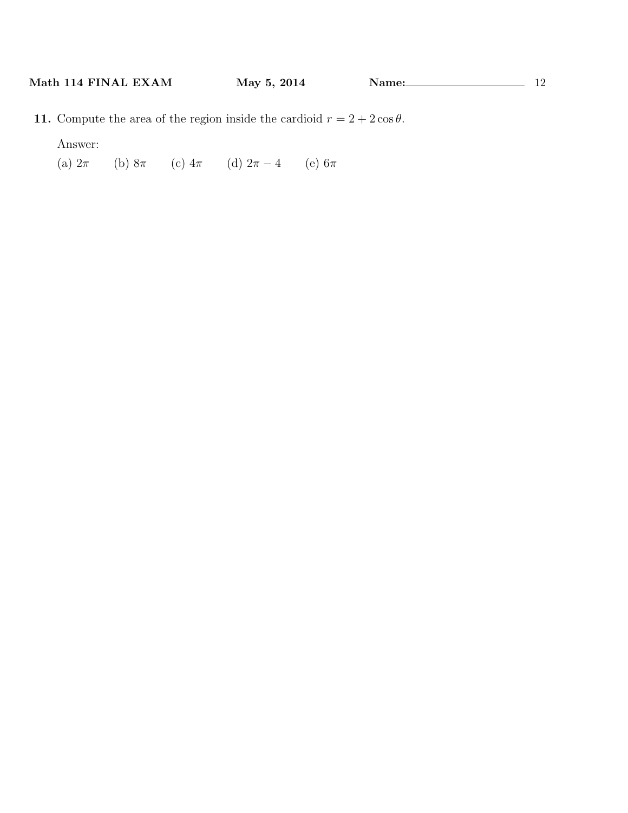**11.** Compute the area of the region inside the cardioid  $r = 2 + 2\cos\theta$ .

Answer:

(a) 2*π* (b) 8*π* (c) 4*π* (d) 2*π −* 4 (e) 6*π*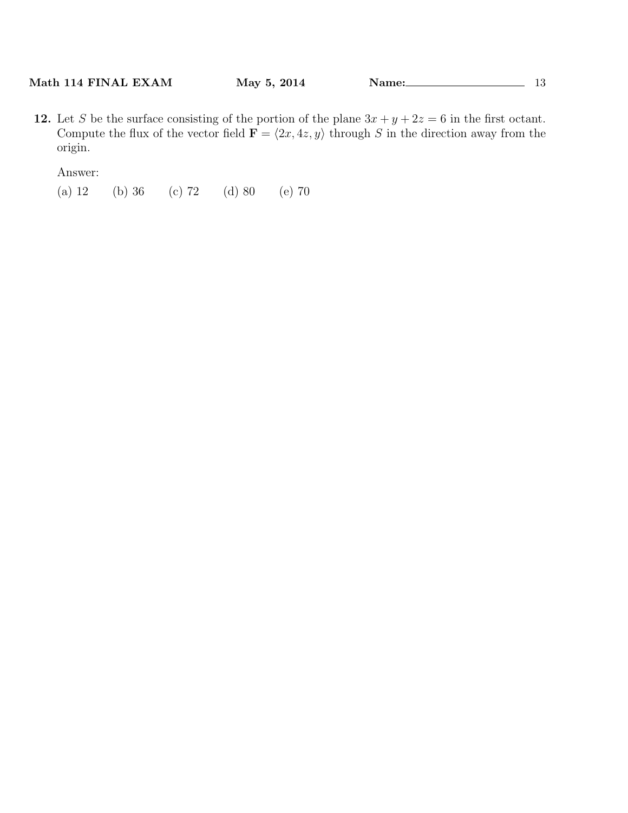**12.** Let *S* be the surface consisting of the portion of the plane  $3x + y + 2z = 6$  in the first octant. Compute the flux of the vector field  $\mathbf{F} = \langle 2x, 4z, y \rangle$  through *S* in the direction away from the origin.

Answer:

(a) 12 (b) 36 (c) 72 (d) 80 (e) 70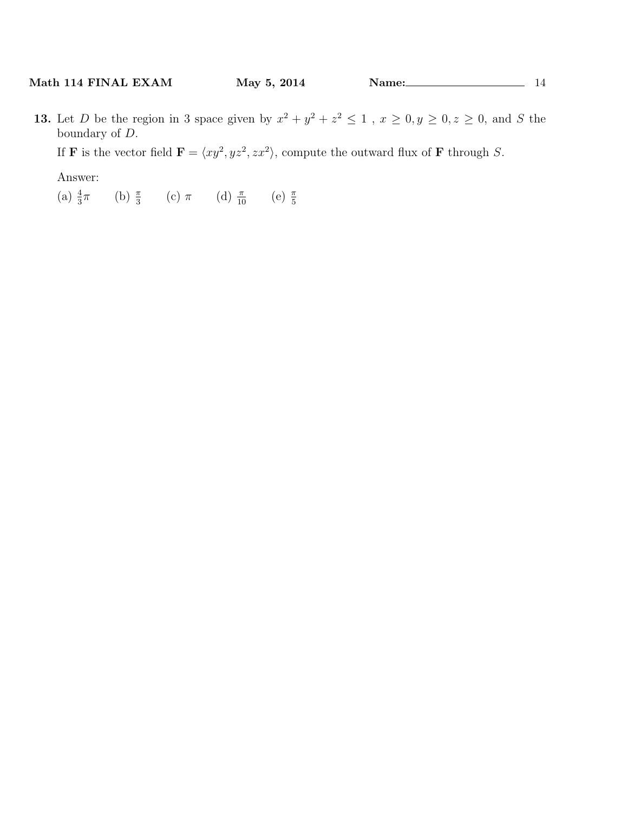**13.** Let *D* be the region in 3 space given by  $x^2 + y^2 + z^2 \le 1$ ,  $x \ge 0, y \ge 0, z \ge 0$ , and *S* the boundary of *D*.

If **F** is the vector field  $\mathbf{F} = \langle xy^2, yz^2, zx^2 \rangle$ , compute the outward flux of **F** through *S*.

Answer:

(a)  $\frac{4}{3}\pi$  (b)  $\frac{\pi}{3}$  (c)  $\pi$  (d)  $\frac{\pi}{10}$  (e)  $\frac{\pi}{5}$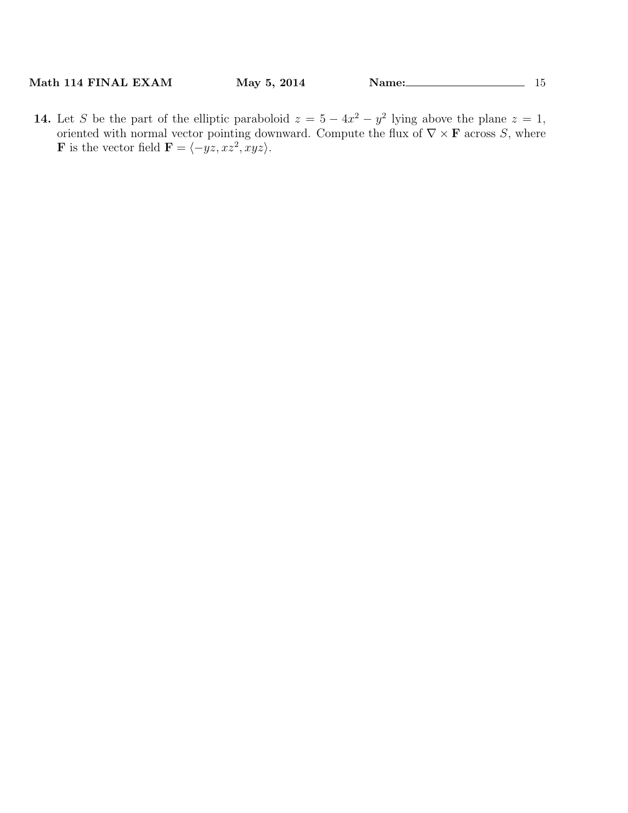**14.** Let *S* be the part of the elliptic paraboloid  $z = 5 - 4x^2 - y^2$  lying above the plane  $z = 1$ , oriented with normal vector pointing downward. Compute the flux of  $\nabla \times \mathbf{F}$  across *S*, where **F** is the vector field  $\mathbf{F} = \langle -yz, xz^2, xyz \rangle$ .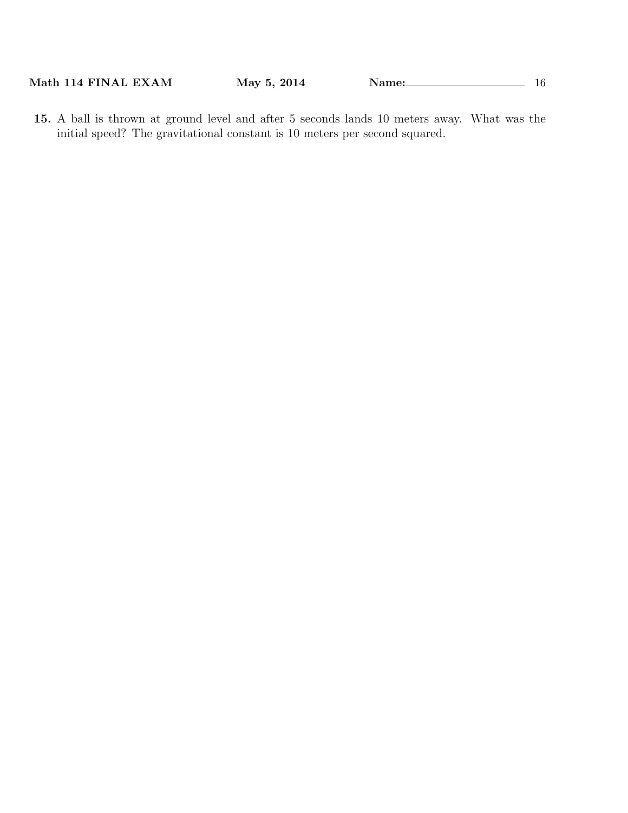**15.** A ball is thrown at ground level and after 5 seconds lands 10 meters away. What was the initial speed? The gravitational constant is 10 meters per second squared.